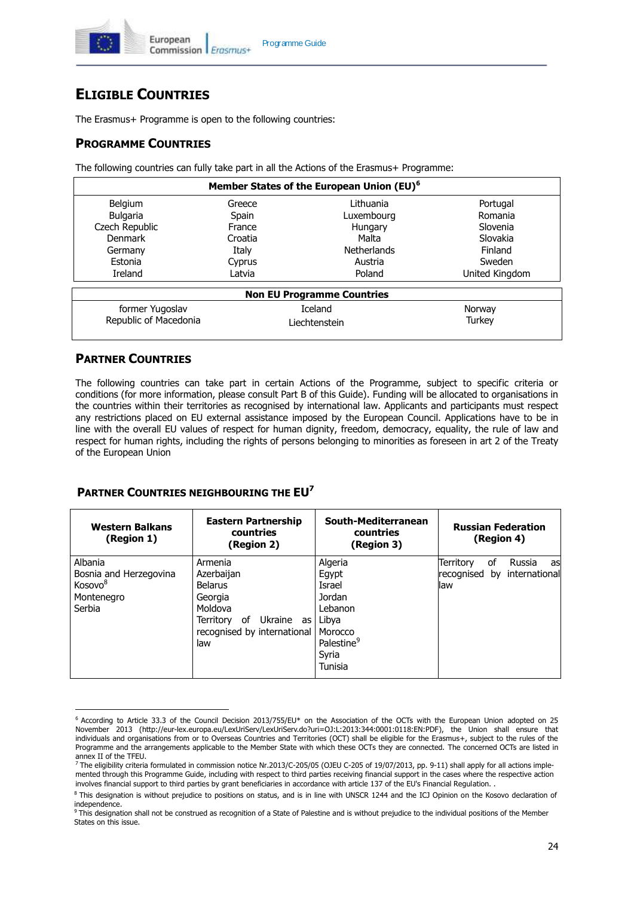

# **ELIGIBLE COUNTRIES**

The Erasmus+ Programme is open to the following countries:

## **PROGRAMME COUNTRIES**

The following countries can fully take part in all the Actions of the Erasmus+ Programme:

| Member States of the European Union (EU) <sup>6</sup> |                |                                   |                |  |  |
|-------------------------------------------------------|----------------|-----------------------------------|----------------|--|--|
| <b>Belgium</b>                                        | Greece         | I ithuania                        | Portugal       |  |  |
| <b>Bulgaria</b>                                       | Spain          | Luxembourg                        | Romania        |  |  |
| Czech Republic                                        | France         | Hungary                           | Slovenia       |  |  |
| Denmark                                               | Croatia        | Malta                             | Slovakia       |  |  |
| Germany                                               | Italy          | Netherlands                       | Finland        |  |  |
| Estonia                                               | Cyprus         | Austria                           | Sweden         |  |  |
| Ireland                                               | Latvia         | Poland                            | United Kingdom |  |  |
|                                                       |                | <b>Non EU Programme Countries</b> |                |  |  |
| former Yugoslav                                       | <b>Iceland</b> |                                   | Norway         |  |  |
| Republic of Macedonia                                 |                | Liechtenstein                     | Turkey         |  |  |
|                                                       |                |                                   |                |  |  |

## **PARTNER COUNTRIES**

The following countries can take part in certain Actions of the Programme, subject to specific criteria or conditions (for more information, please consult Part B of this Guide). Funding will be allocated to organisations in the countries within their territories as recognised by international law. Applicants and participants must respect any restrictions placed on EU external assistance imposed by the European Council. Applications have to be in line with the overall EU values of respect for human dignity, freedom, democracy, equality, the rule of law and respect for human rights, including the rights of persons belonging to minorities as foreseen in art 2 of the Treaty of the European Union

#### **PARTNER COUNTRIES NEIGHBOURING THE EU<sup>7</sup>**

| <b>Western Balkans</b><br>(Region 1)                                             | <b>Eastern Partnership</b><br>countries<br>(Region 2)                                                                                   | South-Mediterranean<br>countries<br>(Region 3)                                                                    | <b>Russian Federation</b><br>(Region 4)                                        |
|----------------------------------------------------------------------------------|-----------------------------------------------------------------------------------------------------------------------------------------|-------------------------------------------------------------------------------------------------------------------|--------------------------------------------------------------------------------|
| Albania<br>Bosnia and Herzegovina<br>Kosovo <sup>8</sup><br>Montenegro<br>Serbia | Armenia<br>Azerbaijan<br><b>Belarus</b><br>Georgia<br>Moldova<br>Ukraine<br>0f<br>Territorv<br>as<br>recognised by international<br>law | Algeria<br>Egypt<br>Israel<br>Jordan<br>Lebanon<br>Libya<br>Morocco<br>Palestine <sup>9</sup><br>Syria<br>Tunisia | <b>Territory</b><br>of<br>Russia<br>asl<br>recognised by international<br>llaw |

<sup>6</sup> According to Article 33.3 of the Council Decision 2013/755/EU\* on the Association of the OCTs with the European Union adopted on 25 November 2013 (http://eur-lex.europa.eu/LexUriServ/LexUriServ.do?uri=OJ:L:2013:344:0001:0118:EN:PDF), the Union shall ensure that individuals and organisations from or to Overseas Countries and Territories (OCT) shall be eligible for the Erasmus+, subject to the rules of the Programme and the arrangements applicable to the Member State with which these OCTs they are connected. The concerned OCTs are listed in

annex II of the TFEU.<br><sup>7</sup> The eligibility criteria formulated in commission notice Nr.2013/C-205/05 (OJEU C-205 of 19/07/2013, pp. 9-11) shall apply for all actions implemented through this Programme Guide, including with respect to third parties receiving financial support in the cases where the respective action involves financial support to third parties by grant beneficiaries in accordance with article 137 of the EU's Financial Regulation. .

<sup>&</sup>lt;sup>8</sup> This designation is without prejudice to positions on status, and is in line with UNSCR 1244 and the ICJ Opinion on the Kosovo declaration of independence.

<sup>&</sup>lt;sup>9</sup> This designation shall not be construed as recognition of a State of Palestine and is without prejudice to the individual positions of the Member States on this issue.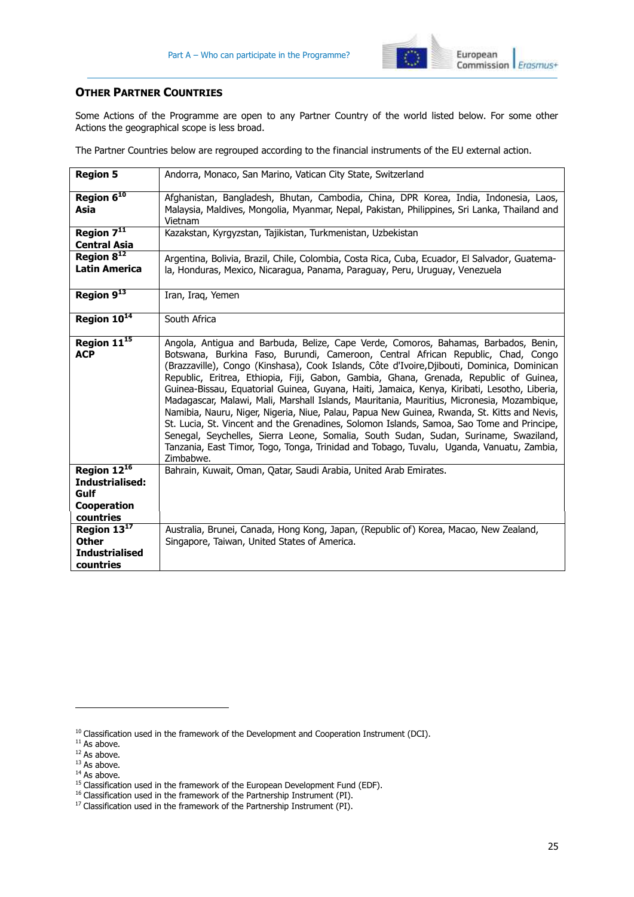

### **OTHER PARTNER COUNTRIES**

Some Actions of the Programme are open to any Partner Country of the world listed below. For some other Actions the geographical scope is less broad.

The Partner Countries below are regrouped according to the financial instruments of the EU external action.

| <b>Region 5</b>                                                         | Andorra, Monaco, San Marino, Vatican City State, Switzerland                                                                                                                                                                                                                                                                                                                                                                                                                                                                                                                                                                                                                                                                                                                                                                                                                                                                                               |
|-------------------------------------------------------------------------|------------------------------------------------------------------------------------------------------------------------------------------------------------------------------------------------------------------------------------------------------------------------------------------------------------------------------------------------------------------------------------------------------------------------------------------------------------------------------------------------------------------------------------------------------------------------------------------------------------------------------------------------------------------------------------------------------------------------------------------------------------------------------------------------------------------------------------------------------------------------------------------------------------------------------------------------------------|
| Region 6 <sup>10</sup><br>Asia                                          | Afghanistan, Bangladesh, Bhutan, Cambodia, China, DPR Korea, India, Indonesia, Laos,<br>Malaysia, Maldives, Mongolia, Myanmar, Nepal, Pakistan, Philippines, Sri Lanka, Thailand and<br>Vietnam                                                                                                                                                                                                                                                                                                                                                                                                                                                                                                                                                                                                                                                                                                                                                            |
| Region 7 <sup>11</sup><br><b>Central Asia</b>                           | Kazakstan, Kyrgyzstan, Tajikistan, Turkmenistan, Uzbekistan                                                                                                                                                                                                                                                                                                                                                                                                                                                                                                                                                                                                                                                                                                                                                                                                                                                                                                |
| Region $8^{12}$<br><b>Latin America</b>                                 | Argentina, Bolivia, Brazil, Chile, Colombia, Costa Rica, Cuba, Ecuador, El Salvador, Guatema-<br>la, Honduras, Mexico, Nicaragua, Panama, Paraguay, Peru, Uruguay, Venezuela                                                                                                                                                                                                                                                                                                                                                                                                                                                                                                                                                                                                                                                                                                                                                                               |
| Region 913                                                              | Iran, Iraq, Yemen                                                                                                                                                                                                                                                                                                                                                                                                                                                                                                                                                                                                                                                                                                                                                                                                                                                                                                                                          |
| Region 10 <sup>14</sup>                                                 | South Africa                                                                                                                                                                                                                                                                                                                                                                                                                                                                                                                                                                                                                                                                                                                                                                                                                                                                                                                                               |
| Region 11 <sup>15</sup><br><b>ACP</b>                                   | Angola, Antigua and Barbuda, Belize, Cape Verde, Comoros, Bahamas, Barbados, Benin,<br>Botswana, Burkina Faso, Burundi, Cameroon, Central African Republic, Chad, Congo<br>(Brazzaville), Congo (Kinshasa), Cook Islands, Côte d'Ivoire, Djibouti, Dominica, Dominican<br>Republic, Eritrea, Ethiopia, Fiji, Gabon, Gambia, Ghana, Grenada, Republic of Guinea,<br>Guinea-Bissau, Equatorial Guinea, Guyana, Haiti, Jamaica, Kenya, Kiribati, Lesotho, Liberia,<br>Madagascar, Malawi, Mali, Marshall Islands, Mauritania, Mauritius, Micronesia, Mozambique,<br>Namibia, Nauru, Niger, Nigeria, Niue, Palau, Papua New Guinea, Rwanda, St. Kitts and Nevis,<br>St. Lucia, St. Vincent and the Grenadines, Solomon Islands, Samoa, Sao Tome and Principe,<br>Senegal, Seychelles, Sierra Leone, Somalia, South Sudan, Sudan, Suriname, Swaziland,<br>Tanzania, East Timor, Togo, Tonga, Trinidad and Tobago, Tuvalu, Uganda, Vanuatu, Zambia,<br>Zimbabwe. |
| Region $12^{16}$<br>Industrialised:<br>Gulf<br>Cooperation<br>countries | Bahrain, Kuwait, Oman, Qatar, Saudi Arabia, United Arab Emirates.                                                                                                                                                                                                                                                                                                                                                                                                                                                                                                                                                                                                                                                                                                                                                                                                                                                                                          |
| Region 1317<br><b>Other</b><br><b>Industrialised</b><br>countries       | Australia, Brunei, Canada, Hong Kong, Japan, (Republic of) Korea, Macao, New Zealand,<br>Singapore, Taiwan, United States of America.                                                                                                                                                                                                                                                                                                                                                                                                                                                                                                                                                                                                                                                                                                                                                                                                                      |

 $^{10}$  Classification used in the framework of the Development and Cooperation Instrument (DCI).

<sup>&</sup>lt;sup>11</sup> As above.<br><sup>12</sup> As above.<br><sup>12</sup> As above.<br><sup>13</sup> As above.

 $14$  As above.

<sup>&</sup>lt;sup>15</sup> Classification used in the framework of the European Development Fund (EDF).

<sup>&</sup>lt;sup>16</sup> Classification used in the framework of the Partnership Instrument (PI).

<sup>&</sup>lt;sup>17</sup> Classification used in the framework of the Partnership Instrument (PI).